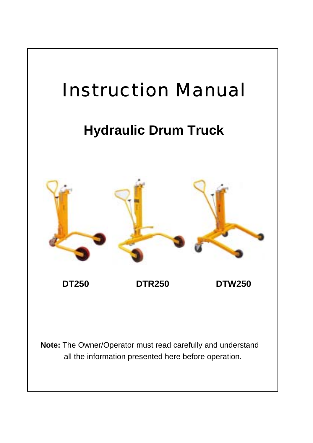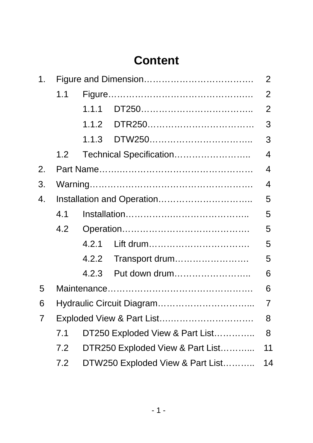# **Content**

| 1. |                                |                                        |                                  |                |  |  |  |
|----|--------------------------------|----------------------------------------|----------------------------------|----------------|--|--|--|
|    | 1.1                            |                                        |                                  | 2              |  |  |  |
|    |                                | 1.1.1                                  |                                  | $\overline{2}$ |  |  |  |
|    |                                | 1.1.2                                  |                                  | 3              |  |  |  |
|    |                                | 1.1.3                                  |                                  | 3              |  |  |  |
|    | 1.2                            |                                        |                                  | $\overline{4}$ |  |  |  |
| 2. |                                |                                        |                                  | 4              |  |  |  |
| 3. |                                |                                        |                                  | 4              |  |  |  |
| 4. |                                |                                        |                                  |                |  |  |  |
|    | 4.1                            | 5                                      |                                  |                |  |  |  |
|    | 4.2                            |                                        |                                  | 5              |  |  |  |
|    |                                | 4.2.1                                  | Lift drum                        | 5              |  |  |  |
|    |                                | 4.2.2                                  | Transport drum                   | 5              |  |  |  |
|    |                                | 4.2.3                                  | Put down drum                    | 6              |  |  |  |
| 5  |                                |                                        |                                  | 6              |  |  |  |
| 6  |                                |                                        |                                  | $\overline{7}$ |  |  |  |
| 7  | Exploded View & Part List<br>8 |                                        |                                  |                |  |  |  |
|    | 7.1                            | DT250 Exploded View & Part List<br>8   |                                  |                |  |  |  |
|    | 7.2                            |                                        | DTR250 Exploded View & Part List | 11             |  |  |  |
|    | 7.2                            | DTW250 Exploded View & Part List<br>14 |                                  |                |  |  |  |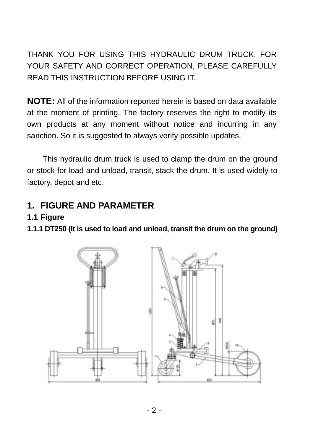THANK YOU FOR USING THIS HYDRAULIC DRUM TRUCK. FOR YOUR SAFETY AND CORRECT OPERATION, PLEASE CAREFULLY READ THIS INSTRUCTION BEFORE USING IT.

**NOTE:** All of the information reported herein is based on data available at the moment of printing. The factory reserves the right to modify its own products at any moment without notice and incurring in any sanction. So it is suggested to always verify possible updates.

This hydraulic drum truck is used to clamp the drum on the ground or stock for load and unload, transit, stack the drum. It is used widely to factory, depot and etc.

### **1. FIGURE AND PARAMETER**

#### **1.1 Figure**

**1.1.1 DT250 (It is used to load and unload, transit the drum on the ground)** 

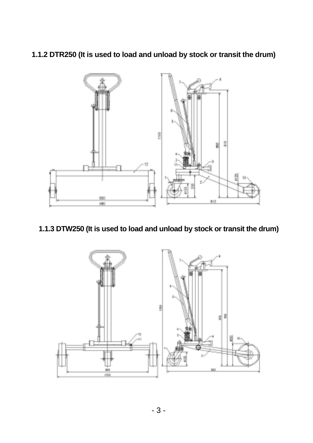**1.1.2 DTR250 (It is used to load and unload by stock or transit the drum)** 



#### **1.1.3 DTW250 (It is used to load and unload by stock or transit the drum)**

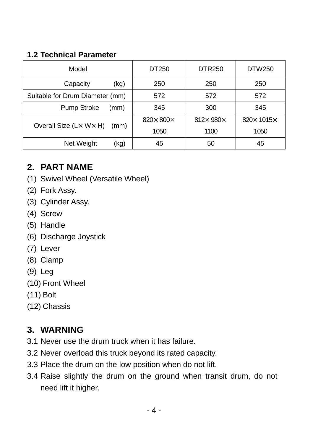#### **1.2 Technical Parameter**

| Model                           | DT250                     | <b>DTR250</b> | DTW250                     |
|---------------------------------|---------------------------|---------------|----------------------------|
| Capacity<br>(kg)                | 250                       | 250           | 250                        |
| Suitable for Drum Diameter (mm) | 572                       | 572           | 572                        |
| Pump Stroke<br>(mm)             | 345                       | 300           | 345                        |
| Overall Size (Lx Wx H)          | 820 $\times$ 800 $\times$ | 812× 980×     | 820 $\times$ 1015 $\times$ |
| (mm)                            | 1050                      | 1100          | 1050                       |
| Net Weight<br>(kg)              | 45                        | 50            | 45                         |

#### **2. PART NAME**

- (1) Swivel Wheel (Versatile Wheel)
- (2) Fork Assy.
- (3) Cylinder Assy.
- (4) Screw
- (5) Handle
- (6) Discharge Joystick
- (7) Lever
- (8) Clamp
- (9) Leg
- (10) Front Wheel
- (11) Bolt
- (12) Chassis

## **3. WARNING**

- 3.1 Never use the drum truck when it has failure.
- 3.2 Never overload this truck beyond its rated capacity.
- 3.3 Place the drum on the low position when do not lift.
- 3.4 Raise slightly the drum on the ground when transit drum, do not need lift it higher.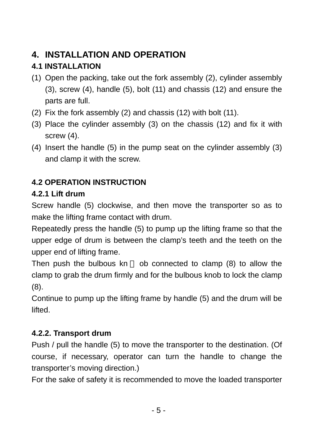# **4. INSTALLATION AND OPERATION**

# **4.1 INSTALLATION**

- (1) Open the packing, take out the fork assembly (2), cylinder assembly (3), screw (4), handle (5), bolt (11) and chassis (12) and ensure the parts are full.
- (2) Fix the fork assembly (2) and chassis (12) with bolt (11).
- (3) Place the cylinder assembly (3) on the chassis (12) and fix it with screw (4).
- (4) Insert the handle (5) in the pump seat on the cylinder assembly (3) and clamp it with the screw.

# **4.2 OPERATION INSTRUCTION**

## **4.2.1 Lift drum**

Screw handle (5) clockwise, and then move the transporter so as to make the lifting frame contact with drum.

Repeatedly press the handle (5) to pump up the lifting frame so that the upper edge of drum is between the clamp's teeth and the teeth on the upper end of lifting frame.

Then push the bulbous kn ob connected to clamp (8) to allow the clamp to grab the drum firmly and for the bulbous knob to lock the clamp (8).

Continue to pump up the lifting frame by handle (5) and the drum will be lifted.

## **4.2.2. Transport drum**

Push / pull the handle (5) to move the transporter to the destination. (Of course, if necessary, operator can turn the handle to change the transporter's moving direction.)

For the sake of safety it is recommended to move the loaded transporter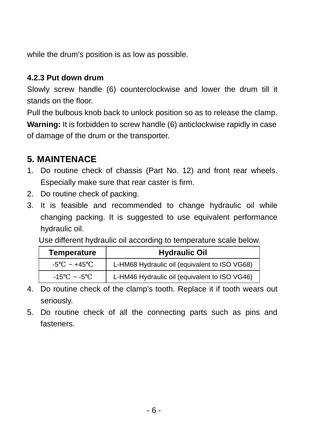while the drum's position is as low as possible.

#### **4.2.3 Put down drum**

Slowly screw handle (6) counterclockwise and lower the drum till it stands on the floor.

Pull the bulbous knob back to unlock position so as to release the clamp. **Warning:** It is forbidden to screw handle (6) anticlockwise rapidly in case of damage of the drum or the transporter.

# **5. MAINTENACE**

- 1. Do routine check of chassis (Part No. 12) and front rear wheels. Especially make sure that rear caster is firm.
- 2. Do routine check of packing.
- 3. It is feasible and recommended to change hydraulic oil while changing packing. It is suggested to use equivalent performance hydraulic oil.

Use different hydraulic oil according to temperature scale below.

| <b>Temperature</b> | <b>Hydraulic Oil</b>                          |
|--------------------|-----------------------------------------------|
| $-5 \sim +45$      | L-HM68 Hydraulic oil (equivalent to ISO VG68) |
| $-15 - -5$         | L-HM46 Hydraulic oil (equivalent to ISO VG46) |

- 4. Do routine check of the clamp's tooth. Replace it if tooth wears out seriously.
- 5. Do routine check of all the connecting parts such as pins and fasteners.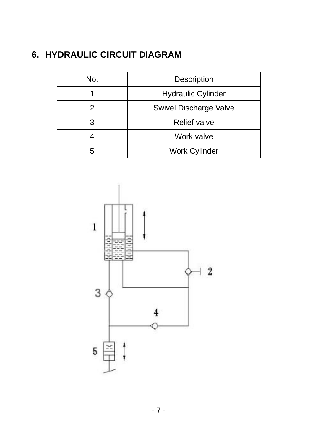# **6. HYDRAULIC CIRCUIT DIAGRAM**

| No. | Description               |  |  |
|-----|---------------------------|--|--|
|     | <b>Hydraulic Cylinder</b> |  |  |
|     | Swivel Discharge Valve    |  |  |
| З   | <b>Relief valve</b>       |  |  |
|     | Work valve                |  |  |
|     | <b>Work Cylinder</b>      |  |  |

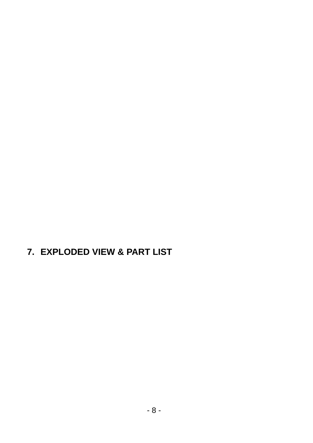**7. EXPLODED VIEW & PART LIST**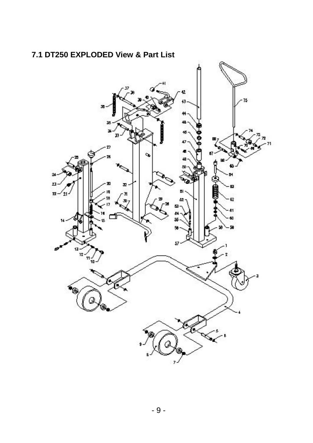

#### **7.1 DT250 EXPLODED View & Part List**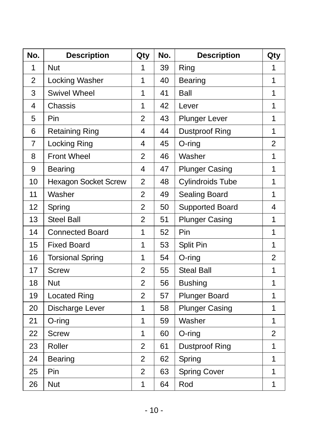| No.            | <b>Description</b>          | Qty            | No. | <b>Description</b>      | Qty            |
|----------------|-----------------------------|----------------|-----|-------------------------|----------------|
| 1              | <b>Nut</b>                  | 1              | 39  | Ring                    | 1              |
| $\overline{2}$ | Locking Washer              | 1              | 40  | Bearing                 | 1              |
| 3              | <b>Swivel Wheel</b>         | 1              | 41  | Ball                    | $\mathbf{1}$   |
| 4              | Chassis                     | 1              | 42  | Lever                   | $\overline{1}$ |
| 5              | Pin                         | $\overline{2}$ | 43  | <b>Plunger Lever</b>    | $\mathbf{1}$   |
| 6              | <b>Retaining Ring</b>       | 4              | 44  | <b>Dustproof Ring</b>   | $\mathbf{1}$   |
| 7              | Locking Ring                | 4              | 45  | $O$ -ring               | $\overline{2}$ |
| 8              | <b>Front Wheel</b>          | $\overline{2}$ | 46  | Washer                  | $\mathbf{1}$   |
| 9              | Bearing                     | 4              | 47  | <b>Plunger Casing</b>   | $\overline{1}$ |
| 10             | <b>Hexagon Socket Screw</b> | $\overline{2}$ | 48  | <b>Cylindroids Tube</b> | $\mathbf{1}$   |
| 11             | Washer                      | $\overline{2}$ | 49  | Sealing Board           | $\mathbf{1}$   |
| 12             | Spring                      | $\overline{2}$ | 50  | <b>Supported Board</b>  | 4              |
| 13             | <b>Steel Ball</b>           | $\overline{2}$ | 51  | <b>Plunger Casing</b>   | $\mathbf{1}$   |
| 14             | <b>Connected Board</b>      | 1              | 52  | Pin                     | $\mathbf{1}$   |
| 15             | <b>Fixed Board</b>          | 1              | 53  | <b>Split Pin</b>        | $\mathbf{1}$   |
| 16             | <b>Torsional Spring</b>     | 1              | 54  | $O$ -ring               | $\overline{2}$ |
| 17             | <b>Screw</b>                | $\overline{2}$ | 55  | <b>Steal Ball</b>       | $\overline{1}$ |
| 18             | <b>Nut</b>                  | $\overline{2}$ | 56  | <b>Bushing</b>          | 1              |
| 19             | <b>Located Ring</b>         | $\overline{2}$ | 57  | <b>Plunger Board</b>    | $\mathbf{1}$   |
| 20             | Discharge Lever             | 1              | 58  | <b>Plunger Casing</b>   | 1              |
| 21             | O-ring                      | 1              | 59  | Washer                  | $\mathbf{1}$   |
| 22             | <b>Screw</b>                | 1              | 60  | $O$ -ring               | $\overline{2}$ |
| 23             | Roller                      | $\overline{2}$ | 61  | <b>Dustproof Ring</b>   | $\overline{1}$ |
| 24             | <b>Bearing</b>              | $\overline{2}$ | 62  | Spring                  | $\mathbf{1}$   |
| 25             | Pin                         | $\overline{2}$ | 63  | <b>Spring Cover</b>     | 1              |
| 26             | <b>Nut</b>                  | 1              | 64  | Rod                     | 1              |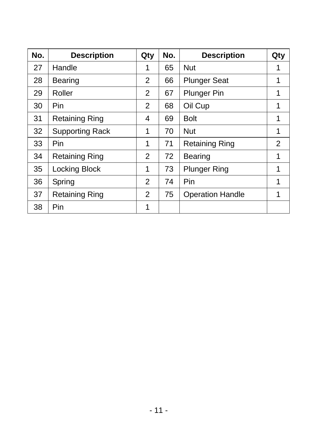| No. | <b>Description</b>     | Qty            | No. | <b>Description</b>      | Qty            |
|-----|------------------------|----------------|-----|-------------------------|----------------|
| 27  | Handle                 | 1              | 65  | <b>Nut</b>              | 1              |
| 28  | <b>Bearing</b>         | 2              | 66  | <b>Plunger Seat</b>     | 1              |
| 29  | Roller                 | 2              | 67  | <b>Plunger Pin</b>      | 1              |
| 30  | Pin                    | 2              | 68  | Oil Cup                 | 1              |
| 31  | <b>Retaining Ring</b>  | 4              | 69  | Bolt                    | 1              |
| 32  | <b>Supporting Rack</b> | 1              | 70  | <b>Nut</b>              | 1              |
| 33  | Pin                    | 1              | 71  | <b>Retaining Ring</b>   | $\overline{2}$ |
| 34  | <b>Retaining Ring</b>  | 2              | 72  | <b>Bearing</b>          | 1              |
| 35  | Locking Block          | 1              | 73  | <b>Plunger Ring</b>     | 1              |
| 36  | Spring                 | $\overline{2}$ | 74  | Pin                     | 1              |
| 37  | <b>Retaining Ring</b>  | 2              | 75  | <b>Operation Handle</b> | 1              |
| 38  | Pin                    | 1              |     |                         |                |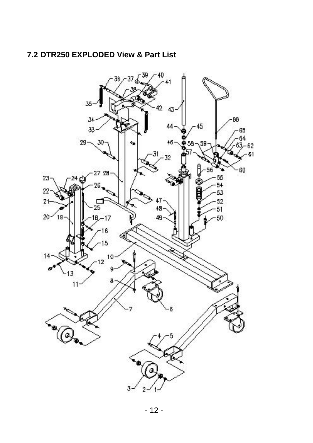#### **7.2 DTR250 EXPLODED View & Part List**

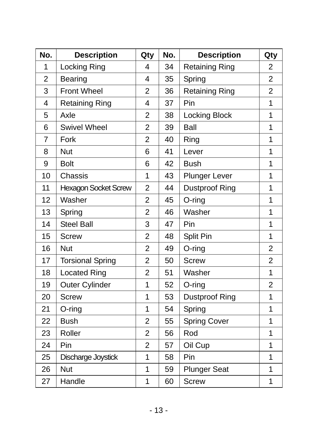| No.            | <b>Description</b>          | Qty            | No. | <b>Description</b>    | Qty            |
|----------------|-----------------------------|----------------|-----|-----------------------|----------------|
| 1              | Locking Ring                | 4              | 34  | <b>Retaining Ring</b> | 2              |
| $\overline{2}$ | Bearing                     | 4              | 35  | Spring                | $\overline{2}$ |
| 3              | <b>Front Wheel</b>          | $\overline{2}$ | 36  | <b>Retaining Ring</b> | $\overline{2}$ |
| 4              | <b>Retaining Ring</b>       | 4              | 37  | Pin                   | 1              |
| 5              | Axle                        | $\overline{2}$ | 38  | <b>Locking Block</b>  | 1              |
| 6              | <b>Swivel Wheel</b>         | $\overline{2}$ | 39  | Ball                  | $\overline{1}$ |
| $\overline{7}$ | Fork                        | $\overline{2}$ | 40  | Ring                  | 1              |
| 8              | <b>Nut</b>                  | 6              | 41  | Lever                 | 1              |
| 9              | <b>Bolt</b>                 | 6              | 42  | <b>Bush</b>           | $\overline{1}$ |
| 10             | Chassis                     | 1              | 43  | <b>Plunger Lever</b>  | 1              |
| 11             | <b>Hexagon Socket Screw</b> | $\overline{2}$ | 44  | <b>Dustproof Ring</b> | 1              |
| 12             | Washer                      | $\overline{2}$ | 45  | $O$ -ring             | 1              |
| 13             | Spring                      | $\overline{2}$ | 46  | Washer                | 1              |
| 14             | <b>Steel Ball</b>           | 3              | 47  | Pin                   | $\overline{1}$ |
| 15             | <b>Screw</b>                | $\overline{2}$ | 48  | Split Pin             | 1              |
| 16             | Nut                         | $\overline{2}$ | 49  | $O$ -ring             | $\overline{c}$ |
| 17             | <b>Torsional Spring</b>     | $\overline{2}$ | 50  | <b>Screw</b>          | $\overline{2}$ |
| 18             | <b>Located Ring</b>         | $\overline{2}$ | 51  | Washer                | 1              |
| 19             | <b>Outer Cylinder</b>       | $\overline{1}$ | 52  | $O$ -ring             | $\overline{2}$ |
| 20             | <b>Screw</b>                | 1              | 53  | <b>Dustproof Ring</b> | 1              |
| 21             | O-ring                      | 1              | 54  | Spring                | 1              |
| 22             | <b>Bush</b>                 | $\overline{2}$ | 55  | <b>Spring Cover</b>   | 1              |
| 23             | Roller                      | $\overline{2}$ | 56  | Rod                   | 1              |
| 24             | Pin                         | $\overline{2}$ | 57  | Oil Cup               | 1              |
| 25             | Discharge Joystick          | 1              | 58  | Pin                   | 1              |
| 26             | <b>Nut</b>                  | $\overline{1}$ | 59  | <b>Plunger Seat</b>   | 1              |
| 27             | Handle                      | 1              | 60  | <b>Screw</b>          | 1              |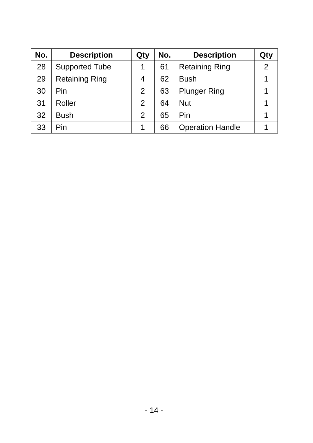| No. | <b>Description</b>    | Qty | No. | <b>Description</b>      | Qty |
|-----|-----------------------|-----|-----|-------------------------|-----|
| 28  | Supported Tube        |     | 61  | <b>Retaining Ring</b>   | 2   |
| 29  | <b>Retaining Ring</b> | 4   | 62  | <b>Bush</b>             |     |
| 30  | Pin                   | 2   | 63  | <b>Plunger Ring</b>     |     |
| 31  | Roller                | 2   | 64  | <b>Nut</b>              |     |
| 32  | <b>Bush</b>           | 2   | 65  | Pin                     |     |
| 33  | Pin                   |     | 66  | <b>Operation Handle</b> |     |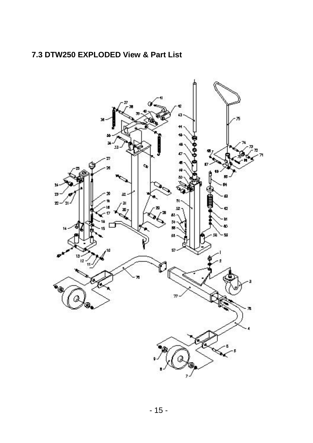#### **7.3 DTW250 EXPLODED View & Part List**

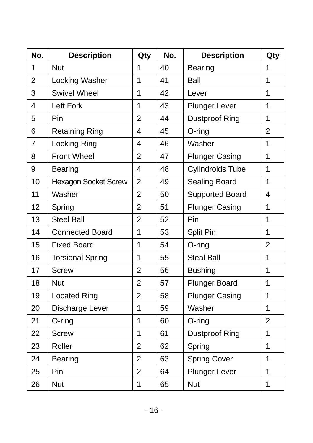| No.            | <b>Description</b>          | Qty            | No. | <b>Description</b>      | Qty            |
|----------------|-----------------------------|----------------|-----|-------------------------|----------------|
| 1              | Nut                         | 1              | 40  | <b>Bearing</b>          | 1              |
| $\overline{2}$ | Locking Washer              | $\overline{1}$ | 41  | Ball                    | 1              |
| 3              | <b>Swivel Wheel</b>         | 1              | 42  | Lever                   | $\mathbf{1}$   |
| $\overline{4}$ | Left Fork                   | 1              | 43  | <b>Plunger Lever</b>    | $\mathbf 1$    |
| 5              | Pin                         | $\overline{2}$ | 44  | <b>Dustproof Ring</b>   | $\mathbf{1}$   |
| 6              | <b>Retaining Ring</b>       | 4              | 45  | $O$ -ring               | $\overline{2}$ |
| $\overline{7}$ | Locking Ring                | $\overline{4}$ | 46  | Washer                  | 1              |
| 8              | <b>Front Wheel</b>          | $\overline{2}$ | 47  | <b>Plunger Casing</b>   | 1              |
| 9              | Bearing                     | $\overline{4}$ | 48  | <b>Cylindroids Tube</b> | 1              |
| 10             | <b>Hexagon Socket Screw</b> | $\overline{2}$ | 49  | Sealing Board           | $\mathbf{1}$   |
| 11             | Washer                      | $\overline{2}$ | 50  | <b>Supported Board</b>  | $\overline{4}$ |
| 12             | Spring                      | $\overline{2}$ | 51  | <b>Plunger Casing</b>   | $\mathbf 1$    |
| 13             | <b>Steel Ball</b>           | $\overline{2}$ | 52  | Pin                     | $\mathbf{1}$   |
| 14             | <b>Connected Board</b>      | $\overline{1}$ | 53  | Split Pin               | $\mathbf{1}$   |
| 15             | <b>Fixed Board</b>          | 1              | 54  | O-ring                  | $\overline{2}$ |
| 16             | <b>Torsional Spring</b>     | 1              | 55  | <b>Steal Ball</b>       | 1              |
| 17             | <b>Screw</b>                | $\overline{2}$ | 56  | <b>Bushing</b>          | 1              |
| 18             | <b>Nut</b>                  | $\overline{2}$ | 57  | <b>Plunger Board</b>    | 1              |
| 19             | <b>Located Ring</b>         | $\overline{2}$ | 58  | <b>Plunger Casing</b>   | $\mathbf{1}$   |
| 20             | Discharge Lever             | 1              | 59  | Washer                  | 1              |
| 21             | O-ring                      | 1              | 60  | O-ring                  | $\overline{2}$ |
| 22             | <b>Screw</b>                | 1              | 61  | <b>Dustproof Ring</b>   | $\mathbf{1}$   |
| 23             | Roller                      | $\overline{2}$ | 62  | Spring                  | 1              |
| 24             | <b>Bearing</b>              | $\overline{2}$ | 63  | <b>Spring Cover</b>     | $\mathbf{1}$   |
| 25             | Pin                         | $\overline{2}$ | 64  | <b>Plunger Lever</b>    | 1              |
| 26             | Nut                         | 1              | 65  | Nut                     | 1              |